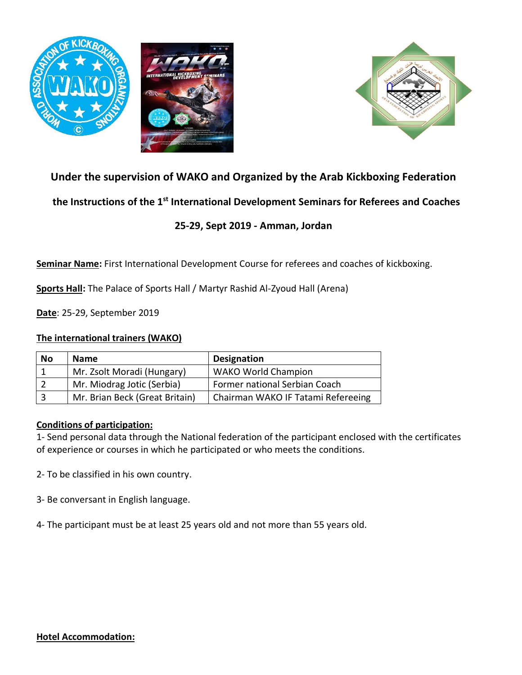





# **Under the supervision of WAKO and Organized by the Arab Kickboxing Federation**

 **the Instructions of the 1st International Development Seminars for Referees and Coaches** 

## **25-29, Sept 2019 - Amman, Jordan**

**Seminar Name:** First International Development Course for referees and coaches of kickboxing.

**Sports Hall:** The Palace of Sports Hall / Martyr Rashid Al-Zyoud Hall (Arena)

**Date**: 25-29, September 2019

#### **The international trainers (WAKO)**

| <b>No</b> | <b>Name</b>                    | <b>Designation</b>                 |
|-----------|--------------------------------|------------------------------------|
|           | Mr. Zsolt Moradi (Hungary)     | <b>WAKO World Champion</b>         |
|           | Mr. Miodrag Jotic (Serbia)     | Former national Serbian Coach      |
|           | Mr. Brian Beck (Great Britain) | Chairman WAKO IF Tatami Refereeing |

## **Conditions of participation:**

1- Send personal data through the National federation of the participant enclosed with the certificates of experience or courses in which he participated or who meets the conditions.

2- To be classified in his own country.

3- Be conversant in English language.

4- The participant must be at least 25 years old and not more than 55 years old.